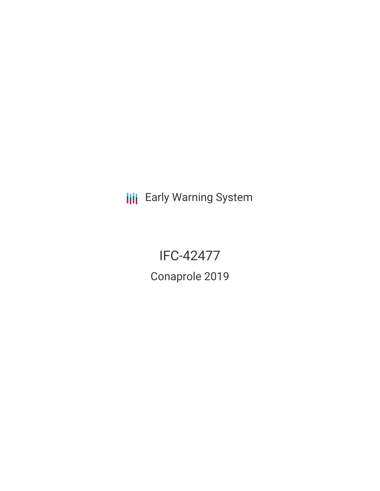**III** Early Warning System

# IFC-42477

Conaprole 2019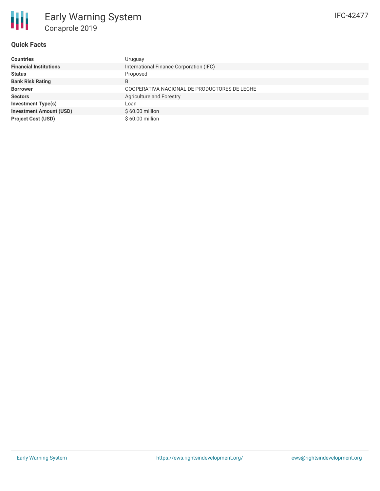## IFC-42477

#### **Quick Facts**

| <b>Countries</b>               | Uruguay                                      |
|--------------------------------|----------------------------------------------|
| <b>Financial Institutions</b>  | International Finance Corporation (IFC)      |
| <b>Status</b>                  | Proposed                                     |
| <b>Bank Risk Rating</b>        | B                                            |
| <b>Borrower</b>                | COOPERATIVA NACIONAL DE PRODUCTORES DE LECHE |
| <b>Sectors</b>                 | Agriculture and Forestry                     |
| <b>Investment Type(s)</b>      | Loan                                         |
| <b>Investment Amount (USD)</b> | $$60.00$ million                             |
| <b>Project Cost (USD)</b>      | $$60.00$ million                             |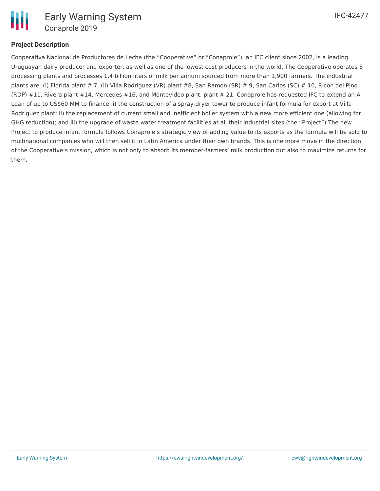

#### **Project Description**

Cooperativa Nacional de Productores de Leche (the "Cooperative" or "Conaprole"), an IFC client since 2002, is a leading Uruguayan dairy producer and exporter, as well as one of the lowest cost producers in the world. The Cooperative operates 8 processing plants and processes 1.4 billion liters of milk per annum sourced from more than 1,900 farmers. The industrial plants are: (i) Florida plant # 7, (ii) Villa Rodriguez (VR) plant #8, San Ramon (SR) # 9, San Carlos (SC) # 10, Ricon del Pino (RDP) #11, Rivera plant #14, Mercedes #16, and Montevideo plant, plant # 21. Conaprole has requested IFC to extend an A Loan of up to US\$60 MM to finance: i) the construction of a spray-dryer tower to produce infant formula for export at Villa Rodriguez plant; ii) the replacement of current small and inefficient boiler system with a new more efficient one (allowing for GHG reduction); and iii) the upgrade of waste water treatment facilities at all their industrial sites (the "Project").The new Project to produce infant formula follows Conaprole's strategic view of adding value to its exports as the formula will be sold to multinational companies who will then sell it in Latin America under their own brands. This is one more move in the direction of the Cooperative's mission, which is not only to absorb its member-farmers' milk production but also to maximize returns for them.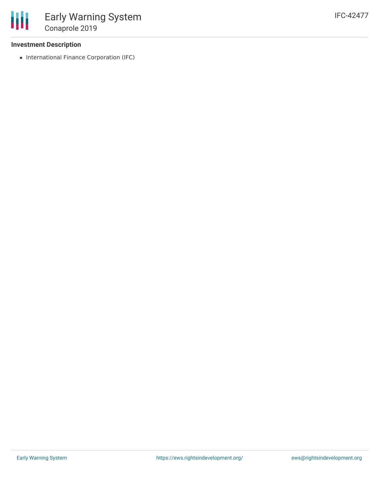

#### **Investment Description**

• International Finance Corporation (IFC)